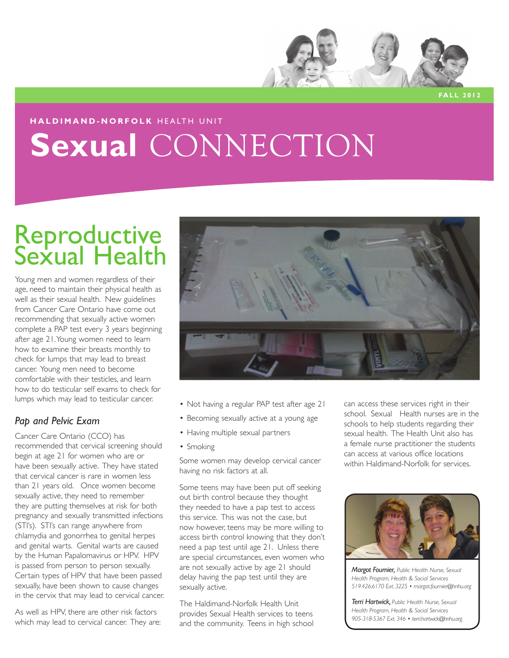

**Fall 2012**

## **haldimand-norfolk** HEALTH UNIT Sexual CONNECTION

## Reproductive Sexual Health

Young men and women regardless of their age, need to maintain their physical health as well as their sexual health. New guidelines from Cancer Care Ontario have come out recommending that sexually active women complete a PAP test every 3 years beginning after age 21. Young women need to learn how to examine their breasts monthly to check for lumps that may lead to breast cancer. Young men need to become comfortable with their testicles, and learn how to do testicular self exams to check for lumps which may lead to testicular cancer.

### *Pap and Pelvic Exam*

Cancer Care Ontario (CCO) has recommended that cervical screening should begin at age 21 for women who are or have been sexually active. They have stated that cervical cancer is rare in women less than 21 years old. Once women become sexually active, they need to remember they are putting themselves at risk for both pregnancy and sexually transmitted infections (STI's). STI's can range anywhere from chlamydia and gonorrhea to genital herpes and genital warts. Genital warts are caused by the Human Papalomavirus or HPV. HPV is passed from person to person sexually. Certain types of HPV that have been passed sexually, have been shown to cause changes in the cervix that may lead to cervical cancer.

As well as HPV, there are other risk factors which may lead to cervical cancer. They are:



- Not having a regular PAP test after age 21
- Becoming sexually active at a young age
- Having multiple sexual partners
- Smoking

Some women may develop cervical cancer having no risk factors at all.

Some teens may have been put off seeking out birth control because they thought they needed to have a pap test to access this service. This was not the case, but now however, teens may be more willing to access birth control knowing that they don't need a pap test until age 21. Unless there are special circumstances, even women who are not sexually active by age 21 should delay having the pap test until they are sexually active.

The Haldimand-Norfolk Health Unit provides Sexual Health services to teens and the community. Teens in high school

can access these services right in their school. Sexual Health nurses are in the schools to help students regarding their sexual health. The Health Unit also has a female nurse practitioner the students can access at various office locations within Haldimand-Norfolk for services.



*Margot Fournier, Public Health Nurse, Sexual Health Program, Health & Social Services 519.426.6170 Ext. 3225 • margot.fournier@hnhu.org*

*Terri Hartwick, Public Health Nurse, Sexual Health Program, Health & Social Services 905-318-5367 Ext. 346 • terri.hartwick@hnhu.org*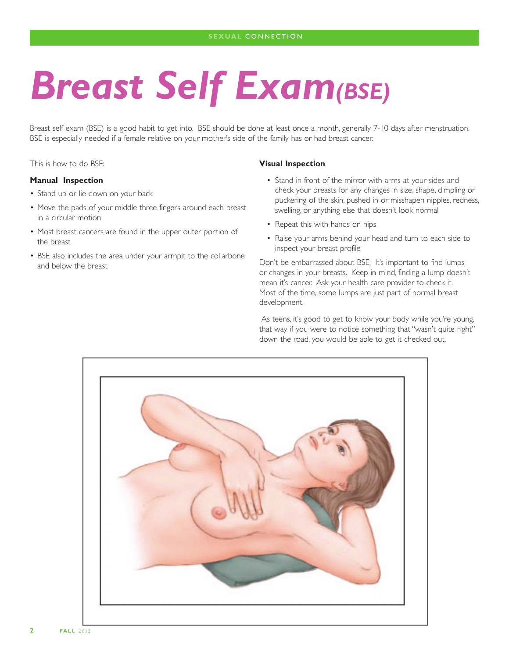## *Breast Self Exam(BSE)*

Breast self exam (BSE) is a good habit to get into. BSE should be done at least once a month, generally 7-10 days after menstruation. BSE is especially needed if a female relative on your mother's side of the family has or had breast cancer.

This is how to do BSE:

#### **Manual Inspection**

- Stand up or lie down on your back
- Move the pads of your middle three fingers around each breast in a circular motion
- Most breast cancers are found in the upper outer portion of the breast
- BSE also includes the area under your armpit to the collarbone and below the breast

#### **Visual Inspection**

- Stand in front of the mirror with arms at your sides and check your breasts for any changes in size, shape, dimpling or puckering of the skin, pushed in or misshapen nipples, redness, swelling, or anything else that doesn't look normal
- Repeat this with hands on hips
- Raise your arms behind your head and turn to each side to inspect your breast profile

Don't be embarrassed about BSE. It's important to find lumps or changes in your breasts. Keep in mind, finding a lump doesn't mean it's cancer. Ask your health care provider to check it. Most of the time, some lumps are just part of normal breast development.

As teens, it's good to get to know your body while you're young, that way if you were to notice something that "wasn't quite right" down the road, you would be able to get it checked out.

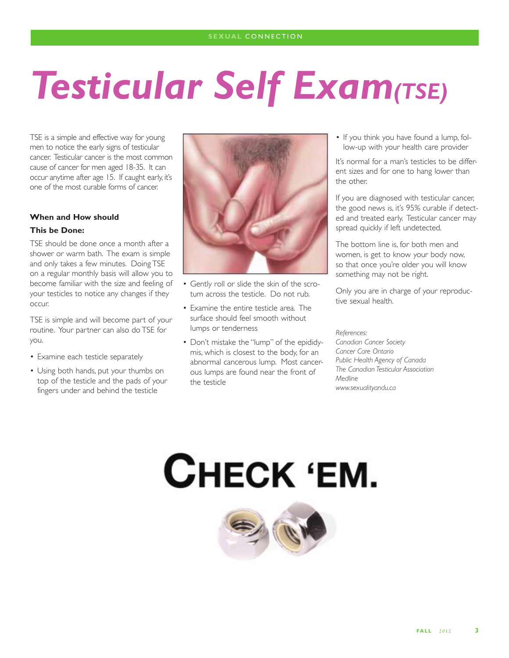## *Testicular Self Exam(TSE)*

TSE is a simple and effective way for young men to notice the early signs of testicular cancer. Testicular cancer is the most common cause of cancer for men aged 18-35. It can occur anytime after age 15. If caught early, it's one of the most curable forms of cancer.

### **When and How should**

### **This be Done:**

TSE should be done once a month after a shower or warm bath. The exam is simple and only takes a few minutes. Doing TSE on a regular monthly basis will allow you to become familiar with the size and feeling of your testicles to notice any changes if they occur.

TSE is simple and will become part of your routine. Your partner can also do TSE for you.

- Examine each testicle separately
- Using both hands, put your thumbs on top of the testicle and the pads of your fingers under and behind the testicle



- Gently roll or slide the skin of the scrotum across the testicle. Do not rub.
- Examine the entire testicle area. The surface should feel smooth without lumps or tenderness
- Don't mistake the "lump" of the epididymis, which is closest to the body, for an abnormal cancerous lump. Most cancerous lumps are found near the front of the testicle

• If you think you have found a lump, follow-up with your health care provider

It's normal for a man's testicles to be different sizes and for one to hang lower than the other.

If you are diagnosed with testicular cancer, the good news is, it's 95% curable if detected and treated early. Testicular cancer may spread quickly if left undetected.

The bottom line is, for both men and women, is get to know your body now, so that once you're older you will know something may not be right.

Only you are in charge of your reproductive sexual health.

*References: Canadian Cancer Society Cancer Care Ontario Public Health Agency of Canada The Canadian Testicular Association Medline www.sexualityandu.ca*

# CHECK 'EM.